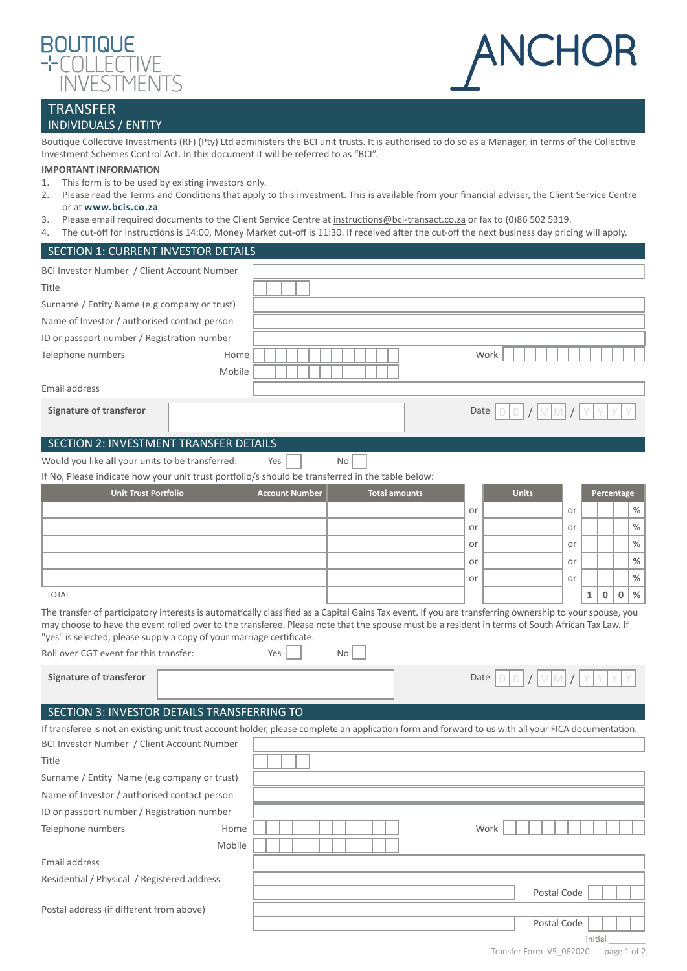



## TRANSFER INDIVIDUALS / ENTITY

Boutique Collective Investments (RF) (Pty) Ltd administers the BCI unit trusts. It is authorised to do so as a Manager, in terms of the Collective Investment Schemes Control Act. In this document it will be referred to as "BCI".

## **IMPORTANT INFORMATION**

- 1. This form is to be used by existing investors only.
- 2. Please read the Terms and Conditions that apply to this investment. This is available from your financial adviser, the Client Service Centre or at **[www.bcis.co.za](http://www.bcis.co.za)**
- 3. Please email required documents to the Client Service Centre at [instructions@bci-transact.co.za](mailto:instructions%40bci-transact.co.za?subject=) or fax to (0)86 502 5319.
- 4. The cut-off for instructions is 14:00, Money Market cut-off is 11:30. If received after the cut-off the next business day pricing will apply.

| SECTION 1: CURRENT INVESTOR DETAILS                                                                                                                                                                                                                                                                                                                                                  |                       |                      |      |              |                             |            |      |
|--------------------------------------------------------------------------------------------------------------------------------------------------------------------------------------------------------------------------------------------------------------------------------------------------------------------------------------------------------------------------------------|-----------------------|----------------------|------|--------------|-----------------------------|------------|------|
| BCI Investor Number / Client Account Number                                                                                                                                                                                                                                                                                                                                          |                       |                      |      |              |                             |            |      |
| Title                                                                                                                                                                                                                                                                                                                                                                                |                       |                      |      |              |                             |            |      |
| Surname / Entity Name (e.g company or trust)                                                                                                                                                                                                                                                                                                                                         |                       |                      |      |              |                             |            |      |
| Name of Investor / authorised contact person                                                                                                                                                                                                                                                                                                                                         |                       |                      |      |              |                             |            |      |
| ID or passport number / Registration number                                                                                                                                                                                                                                                                                                                                          |                       |                      |      |              |                             |            |      |
| Telephone numbers                                                                                                                                                                                                                                                                                                                                                                    | Home<br>Mobile        |                      | Work |              |                             |            |      |
| Email address                                                                                                                                                                                                                                                                                                                                                                        |                       |                      |      |              |                             |            |      |
| <b>Signature of transferor</b>                                                                                                                                                                                                                                                                                                                                                       |                       |                      | Date |              |                             |            |      |
| SECTION 2: INVESTMENT TRANSFER DETAILS                                                                                                                                                                                                                                                                                                                                               |                       |                      |      |              |                             |            |      |
| Would you like all your units to be transferred:                                                                                                                                                                                                                                                                                                                                     | Yes                   | No                   |      |              |                             |            |      |
| If No, Please indicate how your unit trust portfolio/s should be transferred in the table below:                                                                                                                                                                                                                                                                                     |                       |                      |      |              |                             |            |      |
| <b>Unit Trust Portfolio</b>                                                                                                                                                                                                                                                                                                                                                          | <b>Account Number</b> | <b>Total amounts</b> |      | <b>Units</b> |                             | Percentage |      |
|                                                                                                                                                                                                                                                                                                                                                                                      |                       |                      | or   | or           |                             |            | $\%$ |
|                                                                                                                                                                                                                                                                                                                                                                                      |                       |                      | or   | or           |                             |            | $\%$ |
|                                                                                                                                                                                                                                                                                                                                                                                      |                       |                      | or   | or           |                             |            | $\%$ |
|                                                                                                                                                                                                                                                                                                                                                                                      |                       |                      | or   | or           |                             |            | $\%$ |
|                                                                                                                                                                                                                                                                                                                                                                                      |                       |                      | or   | or           |                             |            | $\%$ |
| <b>TOTAL</b>                                                                                                                                                                                                                                                                                                                                                                         |                       |                      |      |              | $\mathbf 0$<br>$\mathbf{1}$ | 0          | %    |
| The transfer of participatory interests is automatically classified as a Capital Gains Tax event. If you are transferring ownership to your spouse, you<br>may choose to have the event rolled over to the transferee. Please note that the spouse must be a resident in terms of South African Tax Law. If<br>"yes" is selected, please supply a copy of your marriage certificate. |                       |                      |      |              |                             |            |      |
| Roll over CGT event for this transfer:                                                                                                                                                                                                                                                                                                                                               | Yes                   | <b>No</b>            |      |              |                             |            |      |
| <b>Signature of transferor</b>                                                                                                                                                                                                                                                                                                                                                       |                       |                      | Date |              |                             |            |      |
| SECTION 3: INVESTOR DETAILS TRANSFERRING TO                                                                                                                                                                                                                                                                                                                                          |                       |                      |      |              |                             |            |      |
| If transferee is not an existing unit trust account holder, please complete an application form and forward to us with all your FICA documentation.                                                                                                                                                                                                                                  |                       |                      |      |              |                             |            |      |
| BCI Investor Number / Client Account Number                                                                                                                                                                                                                                                                                                                                          |                       |                      |      |              |                             |            |      |
| Title                                                                                                                                                                                                                                                                                                                                                                                |                       |                      |      |              |                             |            |      |
| Surname / Entity Name (e.g company or trust)                                                                                                                                                                                                                                                                                                                                         |                       |                      |      |              |                             |            |      |
| Name of Investor / authorised contact person                                                                                                                                                                                                                                                                                                                                         |                       |                      |      |              |                             |            |      |
| ID or passport number / Registration number                                                                                                                                                                                                                                                                                                                                          |                       |                      |      |              |                             |            |      |
| Telephone numbers                                                                                                                                                                                                                                                                                                                                                                    | Home                  |                      | Work |              |                             |            |      |
|                                                                                                                                                                                                                                                                                                                                                                                      | Mobile                |                      |      |              |                             |            |      |
| Email address                                                                                                                                                                                                                                                                                                                                                                        |                       |                      |      |              |                             |            |      |
| Residential / Physical / Registered address                                                                                                                                                                                                                                                                                                                                          |                       |                      |      |              |                             |            |      |
|                                                                                                                                                                                                                                                                                                                                                                                      |                       |                      |      | Postal Code  |                             |            |      |
| Postal address (if different from above)                                                                                                                                                                                                                                                                                                                                             |                       |                      |      |              |                             |            |      |
|                                                                                                                                                                                                                                                                                                                                                                                      |                       |                      |      | Postal Code  | Initial                     |            |      |
|                                                                                                                                                                                                                                                                                                                                                                                      |                       |                      |      |              |                             |            |      |

Transfer Form V5\_062020 | page 1 of 2